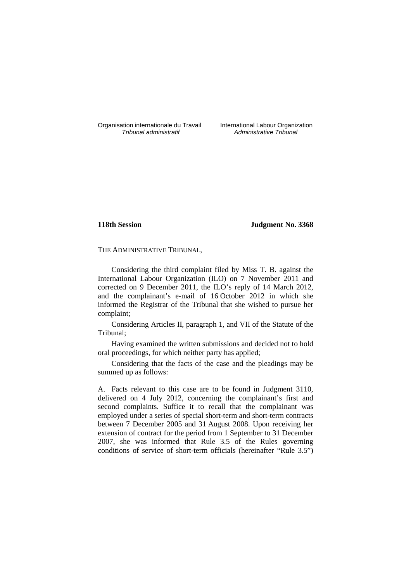Organisation internationale du Travail International Labour Organization<br>*Tribunal administratif* Administrative Tribunal

Administrative Tribunal

## **118th Session Judgment No. 3368**

THE ADMINISTRATIVE TRIBUNAL,

Considering the third complaint filed by Miss T. B. against the International Labour Organization (ILO) on 7 November 2011 and corrected on 9 December 2011, the ILO's reply of 14 March 2012, and the complainant's e-mail of 16 October 2012 in which she informed the Registrar of the Tribunal that she wished to pursue her complaint;

Considering Articles II, paragraph 1, and VII of the Statute of the Tribunal;

Having examined the written submissions and decided not to hold oral proceedings, for which neither party has applied;

Considering that the facts of the case and the pleadings may be summed up as follows:

A. Facts relevant to this case are to be found in Judgment 3110, delivered on 4 July 2012, concerning the complainant's first and second complaints. Suffice it to recall that the complainant was employed under a series of special short-term and short-term contracts between 7 December 2005 and 31 August 2008. Upon receiving her extension of contract for the period from 1 September to 31 December 2007, she was informed that Rule 3.5 of the Rules governing conditions of service of short-term officials (hereinafter "Rule 3.5")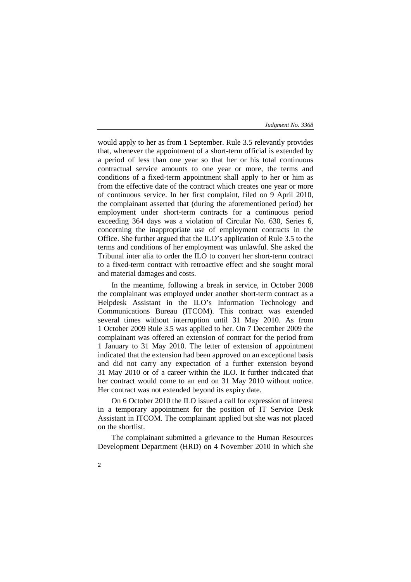would apply to her as from 1 September. Rule 3.5 relevantly provides that, whenever the appointment of a short-term official is extended by a period of less than one year so that her or his total continuous contractual service amounts to one year or more, the terms and conditions of a fixed-term appointment shall apply to her or him as from the effective date of the contract which creates one year or more of continuous service. In her first complaint, filed on 9 April 2010, the complainant asserted that (during the aforementioned period) her employment under short-term contracts for a continuous period exceeding 364 days was a violation of Circular No. 630, Series 6, concerning the inappropriate use of employment contracts in the Office. She further argued that the ILO's application of Rule 3.5 to the terms and conditions of her employment was unlawful. She asked the Tribunal inter alia to order the ILO to convert her short-term contract to a fixed-term contract with retroactive effect and she sought moral and material damages and costs.

In the meantime, following a break in service, in October 2008 the complainant was employed under another short-term contract as a Helpdesk Assistant in the ILO's Information Technology and Communications Bureau (ITCOM). This contract was extended several times without interruption until 31 May 2010. As from 1 October 2009 Rule 3.5 was applied to her. On 7 December 2009 the complainant was offered an extension of contract for the period from 1 January to 31 May 2010. The letter of extension of appointment indicated that the extension had been approved on an exceptional basis and did not carry any expectation of a further extension beyond 31 May 2010 or of a career within the ILO. It further indicated that her contract would come to an end on 31 May 2010 without notice. Her contract was not extended beyond its expiry date.

On 6 October 2010 the ILO issued a call for expression of interest in a temporary appointment for the position of IT Service Desk Assistant in ITCOM. The complainant applied but she was not placed on the shortlist.

The complainant submitted a grievance to the Human Resources Development Department (HRD) on 4 November 2010 in which she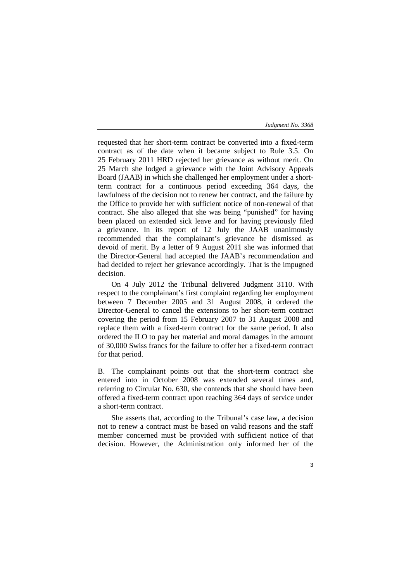requested that her short-term contract be converted into a fixed-term contract as of the date when it became subject to Rule 3.5. On 25 February 2011 HRD rejected her grievance as without merit. On 25 March she lodged a grievance with the Joint Advisory Appeals Board (JAAB) in which she challenged her employment under a shortterm contract for a continuous period exceeding 364 days, the lawfulness of the decision not to renew her contract, and the failure by the Office to provide her with sufficient notice of non-renewal of that contract. She also alleged that she was being "punished" for having been placed on extended sick leave and for having previously filed a grievance. In its report of 12 July the JAAB unanimously recommended that the complainant's grievance be dismissed as devoid of merit. By a letter of 9 August 2011 she was informed that the Director-General had accepted the JAAB's recommendation and had decided to reject her grievance accordingly. That is the impugned decision.

On 4 July 2012 the Tribunal delivered Judgment 3110. With respect to the complainant's first complaint regarding her employment between 7 December 2005 and 31 August 2008, it ordered the Director-General to cancel the extensions to her short-term contract covering the period from 15 February 2007 to 31 August 2008 and replace them with a fixed-term contract for the same period. It also ordered the ILO to pay her material and moral damages in the amount of 30,000 Swiss francs for the failure to offer her a fixed-term contract for that period.

B. The complainant points out that the short-term contract she entered into in October 2008 was extended several times and, referring to Circular No. 630, she contends that she should have been offered a fixed-term contract upon reaching 364 days of service under a short-term contract.

She asserts that, according to the Tribunal's case law, a decision not to renew a contract must be based on valid reasons and the staff member concerned must be provided with sufficient notice of that decision. However, the Administration only informed her of the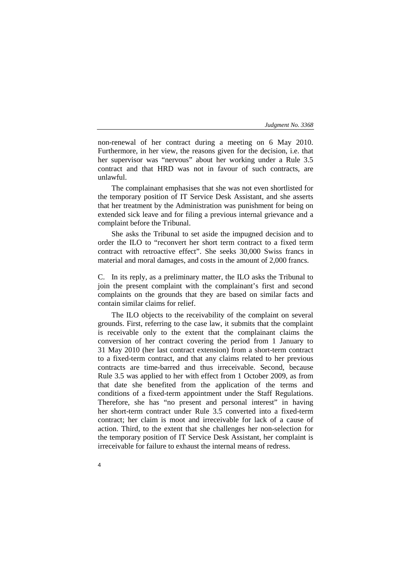non-renewal of her contract during a meeting on 6 May 2010. Furthermore, in her view, the reasons given for the decision, i.e. that her supervisor was "nervous" about her working under a Rule 3.5 contract and that HRD was not in favour of such contracts, are unlawful.

The complainant emphasises that she was not even shortlisted for the temporary position of IT Service Desk Assistant, and she asserts that her treatment by the Administration was punishment for being on extended sick leave and for filing a previous internal grievance and a complaint before the Tribunal.

She asks the Tribunal to set aside the impugned decision and to order the ILO to "reconvert her short term contract to a fixed term contract with retroactive effect". She seeks 30,000 Swiss francs in material and moral damages, and costs in the amount of 2,000 francs.

C. In its reply, as a preliminary matter, the ILO asks the Tribunal to join the present complaint with the complainant's first and second complaints on the grounds that they are based on similar facts and contain similar claims for relief.

The ILO objects to the receivability of the complaint on several grounds. First, referring to the case law, it submits that the complaint is receivable only to the extent that the complainant claims the conversion of her contract covering the period from 1 January to 31 May 2010 (her last contract extension) from a short-term contract to a fixed-term contract, and that any claims related to her previous contracts are time-barred and thus irreceivable. Second, because Rule 3.5 was applied to her with effect from 1 October 2009, as from that date she benefited from the application of the terms and conditions of a fixed-term appointment under the Staff Regulations. Therefore, she has "no present and personal interest" in having her short-term contract under Rule 3.5 converted into a fixed-term contract; her claim is moot and irreceivable for lack of a cause of action. Third, to the extent that she challenges her non-selection for the temporary position of IT Service Desk Assistant, her complaint is irreceivable for failure to exhaust the internal means of redress.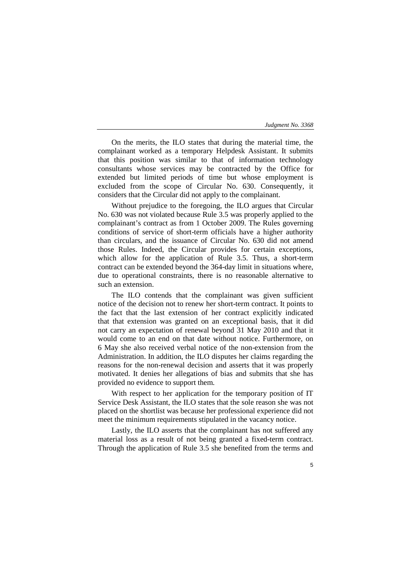On the merits, the ILO states that during the material time, the complainant worked as a temporary Helpdesk Assistant. It submits that this position was similar to that of information technology consultants whose services may be contracted by the Office for extended but limited periods of time but whose employment is excluded from the scope of Circular No. 630. Consequently, it considers that the Circular did not apply to the complainant.

Without prejudice to the foregoing, the ILO argues that Circular No. 630 was not violated because Rule 3.5 was properly applied to the complainant's contract as from 1 October 2009. The Rules governing conditions of service of short-term officials have a higher authority than circulars, and the issuance of Circular No. 630 did not amend those Rules. Indeed, the Circular provides for certain exceptions, which allow for the application of Rule 3.5. Thus, a short-term contract can be extended beyond the 364-day limit in situations where, due to operational constraints, there is no reasonable alternative to such an extension.

The ILO contends that the complainant was given sufficient notice of the decision not to renew her short-term contract. It points to the fact that the last extension of her contract explicitly indicated that that extension was granted on an exceptional basis, that it did not carry an expectation of renewal beyond 31 May 2010 and that it would come to an end on that date without notice. Furthermore, on 6 May she also received verbal notice of the non-extension from the Administration. In addition, the ILO disputes her claims regarding the reasons for the non-renewal decision and asserts that it was properly motivated. It denies her allegations of bias and submits that she has provided no evidence to support them.

With respect to her application for the temporary position of IT Service Desk Assistant, the ILO states that the sole reason she was not placed on the shortlist was because her professional experience did not meet the minimum requirements stipulated in the vacancy notice.

Lastly, the ILO asserts that the complainant has not suffered any material loss as a result of not being granted a fixed-term contract. Through the application of Rule 3.5 she benefited from the terms and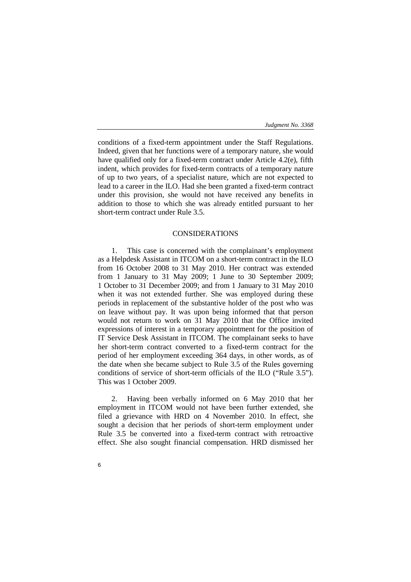conditions of a fixed-term appointment under the Staff Regulations. Indeed, given that her functions were of a temporary nature, she would have qualified only for a fixed-term contract under Article 4.2(e), fifth indent, which provides for fixed-term contracts of a temporary nature of up to two years, of a specialist nature, which are not expected to lead to a career in the ILO. Had she been granted a fixed-term contract under this provision, she would not have received any benefits in addition to those to which she was already entitled pursuant to her short-term contract under Rule 3.5.

### CONSIDERATIONS

1. This case is concerned with the complainant's employment as a Helpdesk Assistant in ITCOM on a short-term contract in the ILO from 16 October 2008 to 31 May 2010. Her contract was extended from 1 January to 31 May 2009; 1 June to 30 September 2009; 1 October to 31 December 2009; and from 1 January to 31 May 2010 when it was not extended further. She was employed during these periods in replacement of the substantive holder of the post who was on leave without pay. It was upon being informed that that person would not return to work on 31 May 2010 that the Office invited expressions of interest in a temporary appointment for the position of IT Service Desk Assistant in ITCOM. The complainant seeks to have her short-term contract converted to a fixed-term contract for the period of her employment exceeding 364 days, in other words, as of the date when she became subject to Rule 3.5 of the Rules governing conditions of service of short-term officials of the ILO ("Rule 3.5"). This was 1 October 2009.

2. Having been verbally informed on 6 May 2010 that her employment in ITCOM would not have been further extended, she filed a grievance with HRD on 4 November 2010. In effect, she sought a decision that her periods of short-term employment under Rule 3.5 be converted into a fixed-term contract with retroactive effect. She also sought financial compensation. HRD dismissed her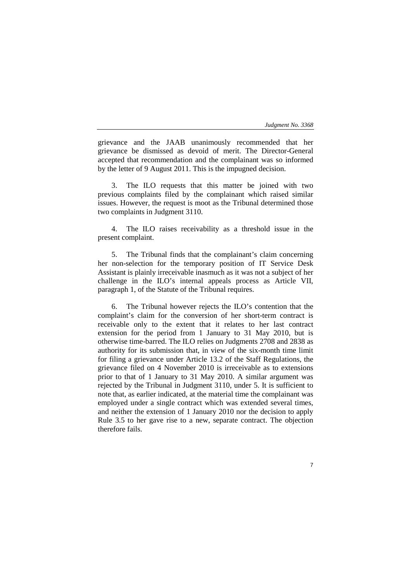grievance and the JAAB unanimously recommended that her grievance be dismissed as devoid of merit. The Director-General accepted that recommendation and the complainant was so informed by the letter of 9 August 2011. This is the impugned decision.

3. The ILO requests that this matter be joined with two previous complaints filed by the complainant which raised similar issues. However, the request is moot as the Tribunal determined those two complaints in Judgment 3110.

4. The ILO raises receivability as a threshold issue in the present complaint.

5. The Tribunal finds that the complainant's claim concerning her non-selection for the temporary position of IT Service Desk Assistant is plainly irreceivable inasmuch as it was not a subject of her challenge in the ILO's internal appeals process as Article VII, paragraph 1, of the Statute of the Tribunal requires.

6. The Tribunal however rejects the ILO's contention that the complaint's claim for the conversion of her short-term contract is receivable only to the extent that it relates to her last contract extension for the period from 1 January to 31 May 2010, but is otherwise time-barred. The ILO relies on Judgments 2708 and 2838 as authority for its submission that, in view of the six-month time limit for filing a grievance under Article 13.2 of the Staff Regulations, the grievance filed on 4 November 2010 is irreceivable as to extensions prior to that of 1 January to 31 May 2010. A similar argument was rejected by the Tribunal in Judgment 3110, under 5. It is sufficient to note that, as earlier indicated, at the material time the complainant was employed under a single contract which was extended several times, and neither the extension of 1 January 2010 nor the decision to apply Rule 3.5 to her gave rise to a new, separate contract. The objection therefore fails.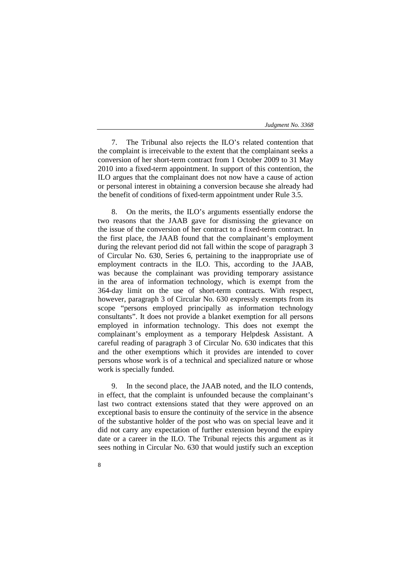7. The Tribunal also rejects the ILO's related contention that the complaint is irreceivable to the extent that the complainant seeks a conversion of her short-term contract from 1 October 2009 to 31 May 2010 into a fixed-term appointment. In support of this contention, the ILO argues that the complainant does not now have a cause of action or personal interest in obtaining a conversion because she already had the benefit of conditions of fixed-term appointment under Rule 3.5.

8. On the merits, the ILO's arguments essentially endorse the two reasons that the JAAB gave for dismissing the grievance on the issue of the conversion of her contract to a fixed-term contract. In the first place, the JAAB found that the complainant's employment during the relevant period did not fall within the scope of paragraph 3 of Circular No. 630, Series 6, pertaining to the inappropriate use of employment contracts in the ILO. This, according to the JAAB, was because the complainant was providing temporary assistance in the area of information technology, which is exempt from the 364-day limit on the use of short-term contracts. With respect, however, paragraph 3 of Circular No. 630 expressly exempts from its scope "persons employed principally as information technology consultants". It does not provide a blanket exemption for all persons employed in information technology. This does not exempt the complainant's employment as a temporary Helpdesk Assistant. A careful reading of paragraph 3 of Circular No. 630 indicates that this and the other exemptions which it provides are intended to cover persons whose work is of a technical and specialized nature or whose work is specially funded.

9. In the second place, the JAAB noted, and the ILO contends, in effect, that the complaint is unfounded because the complainant's last two contract extensions stated that they were approved on an exceptional basis to ensure the continuity of the service in the absence of the substantive holder of the post who was on special leave and it did not carry any expectation of further extension beyond the expiry date or a career in the ILO. The Tribunal rejects this argument as it sees nothing in Circular No. 630 that would justify such an exception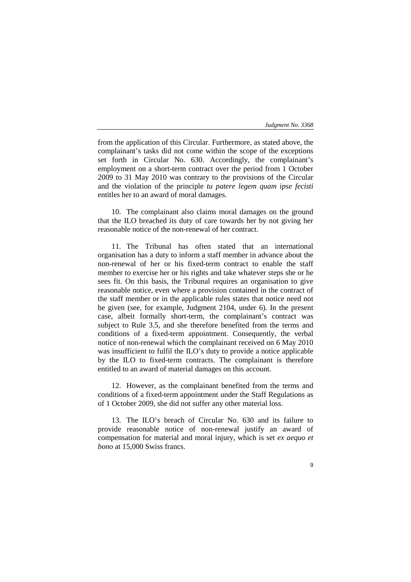from the application of this Circular. Furthermore, as stated above, the complainant's tasks did not come within the scope of the exceptions set forth in Circular No. 630. Accordingly, the complainant's employment on a short-term contract over the period from 1 October 2009 to 31 May 2010 was contrary to the provisions of the Circular and the violation of the principle *tu patere legem quam ipse fecisti* entitles her to an award of moral damages.

10. The complainant also claims moral damages on the ground that the ILO breached its duty of care towards her by not giving her reasonable notice of the non-renewal of her contract.

11. The Tribunal has often stated that an international organisation has a duty to inform a staff member in advance about the non-renewal of her or his fixed-term contract to enable the staff member to exercise her or his rights and take whatever steps she or he sees fit. On this basis, the Tribunal requires an organisation to give reasonable notice, even where a provision contained in the contract of the staff member or in the applicable rules states that notice need not be given (see, for example, Judgment 2104, under 6). In the present case, albeit formally short-term, the complainant's contract was subject to Rule 3.5, and she therefore benefited from the terms and conditions of a fixed-term appointment. Consequently, the verbal notice of non-renewal which the complainant received on 6 May 2010 was insufficient to fulfil the ILO's duty to provide a notice applicable by the ILO to fixed-term contracts. The complainant is therefore entitled to an award of material damages on this account.

12. However, as the complainant benefited from the terms and conditions of a fixed-term appointment under the Staff Regulations as of 1 October 2009, she did not suffer any other material loss.

13. The ILO's breach of Circular No. 630 and its failure to provide reasonable notice of non-renewal justify an award of compensation for material and moral injury, which is set *ex aequo et bono* at 15,000 Swiss francs.